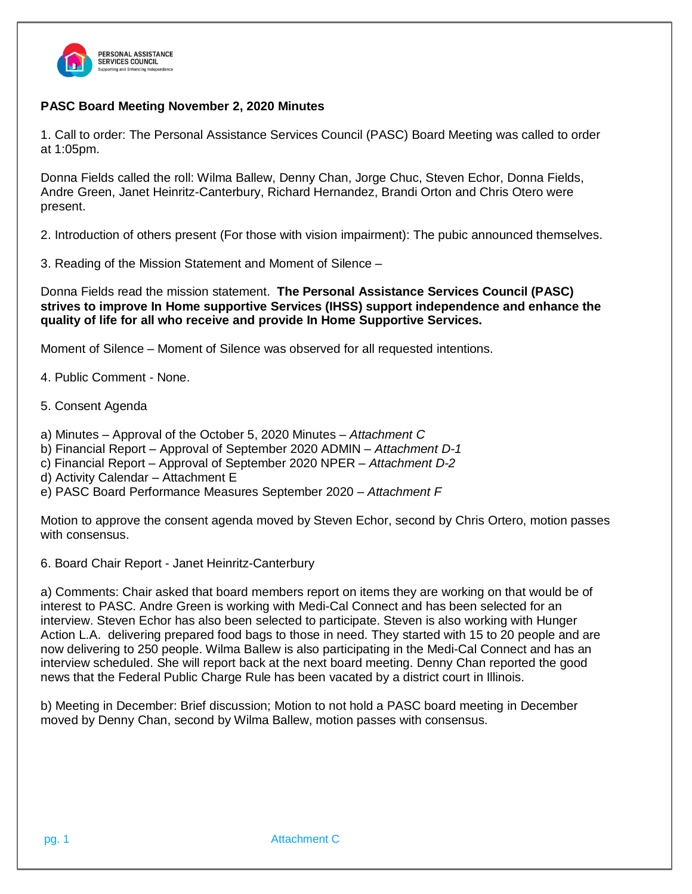

## **PASC Board Meeting November 2, 2020 Minutes**

1. Call to order: The Personal Assistance Services Council (PASC) Board Meeting was called to order at 1:05pm.

Donna Fields called the roll: Wilma Ballew, Denny Chan, Jorge Chuc, Steven Echor, Donna Fields, Andre Green, Janet Heinritz-Canterbury, Richard Hernandez, Brandi Orton and Chris Otero were present.

2. Introduction of others present (For those with vision impairment): The pubic announced themselves.

3. Reading of the Mission Statement and Moment of Silence –

Donna Fields read the mission statement. **The Personal Assistance Services Council (PASC) strives to improve In Home supportive Services (IHSS) support independence and enhance the quality of life for all who receive and provide In Home Supportive Services.**

Moment of Silence – Moment of Silence was observed for all requested intentions.

4. Public Comment - None.

5. Consent Agenda

a) Minutes – Approval of the October 5, 2020 Minutes – *Attachment C*

b) Financial Report – Approval of September 2020 ADMIN – *Attachment D-1*

c) Financial Report – Approval of September 2020 NPER – *Attachment D-2*

- d) Activity Calendar Attachment E
- e) PASC Board Performance Measures September 2020 *– Attachment F*

Motion to approve the consent agenda moved by Steven Echor, second by Chris Ortero, motion passes with consensus.

6. Board Chair Report - Janet Heinritz-Canterbury

a) Comments: Chair asked that board members report on items they are working on that would be of interest to PASC. Andre Green is working with Medi-Cal Connect and has been selected for an interview. Steven Echor has also been selected to participate. Steven is also working with Hunger Action L.A. delivering prepared food bags to those in need. They started with 15 to 20 people and are now delivering to 250 people. Wilma Ballew is also participating in the Medi-Cal Connect and has an interview scheduled. She will report back at the next board meeting. Denny Chan reported the good news that the Federal Public Charge Rule has been vacated by a district court in Illinois.

b) Meeting in December: Brief discussion; Motion to not hold a PASC board meeting in December moved by Denny Chan, second by Wilma Ballew, motion passes with consensus.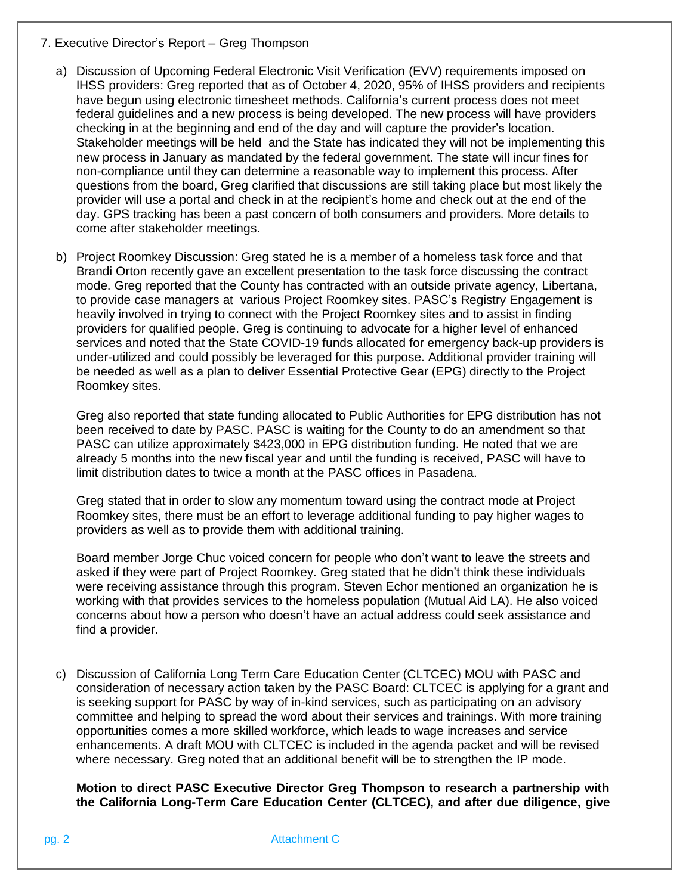- 7. Executive Director's Report Greg Thompson
	- a) Discussion of Upcoming Federal Electronic Visit Verification (EVV) requirements imposed on IHSS providers: Greg reported that as of October 4, 2020, 95% of IHSS providers and recipients have begun using electronic timesheet methods. California's current process does not meet federal guidelines and a new process is being developed. The new process will have providers checking in at the beginning and end of the day and will capture the provider's location. Stakeholder meetings will be held and the State has indicated they will not be implementing this new process in January as mandated by the federal government. The state will incur fines for non-compliance until they can determine a reasonable way to implement this process. After questions from the board, Greg clarified that discussions are still taking place but most likely the provider will use a portal and check in at the recipient's home and check out at the end of the day. GPS tracking has been a past concern of both consumers and providers. More details to come after stakeholder meetings.
	- b) Project Roomkey Discussion: Greg stated he is a member of a homeless task force and that Brandi Orton recently gave an excellent presentation to the task force discussing the contract mode. Greg reported that the County has contracted with an outside private agency, Libertana, to provide case managers at various Project Roomkey sites. PASC's Registry Engagement is heavily involved in trying to connect with the Project Roomkey sites and to assist in finding providers for qualified people. Greg is continuing to advocate for a higher level of enhanced services and noted that the State COVID-19 funds allocated for emergency back-up providers is under-utilized and could possibly be leveraged for this purpose. Additional provider training will be needed as well as a plan to deliver Essential Protective Gear (EPG) directly to the Project Roomkey sites.

Greg also reported that state funding allocated to Public Authorities for EPG distribution has not been received to date by PASC. PASC is waiting for the County to do an amendment so that PASC can utilize approximately \$423,000 in EPG distribution funding. He noted that we are already 5 months into the new fiscal year and until the funding is received, PASC will have to limit distribution dates to twice a month at the PASC offices in Pasadena.

Greg stated that in order to slow any momentum toward using the contract mode at Project Roomkey sites, there must be an effort to leverage additional funding to pay higher wages to providers as well as to provide them with additional training.

Board member Jorge Chuc voiced concern for people who don't want to leave the streets and asked if they were part of Project Roomkey. Greg stated that he didn't think these individuals were receiving assistance through this program. Steven Echor mentioned an organization he is working with that provides services to the homeless population (Mutual Aid LA). He also voiced concerns about how a person who doesn't have an actual address could seek assistance and find a provider.

c) Discussion of California Long Term Care Education Center (CLTCEC) MOU with PASC and consideration of necessary action taken by the PASC Board: CLTCEC is applying for a grant and is seeking support for PASC by way of in-kind services, such as participating on an advisory committee and helping to spread the word about their services and trainings. With more training opportunities comes a more skilled workforce, which leads to wage increases and service enhancements. A draft MOU with CLTCEC is included in the agenda packet and will be revised where necessary. Greg noted that an additional benefit will be to strengthen the IP mode.

**Motion to direct PASC Executive Director Greg Thompson to research a partnership with the California Long-Term Care Education Center (CLTCEC), and after due diligence, give** 

pg. 2 Attachment C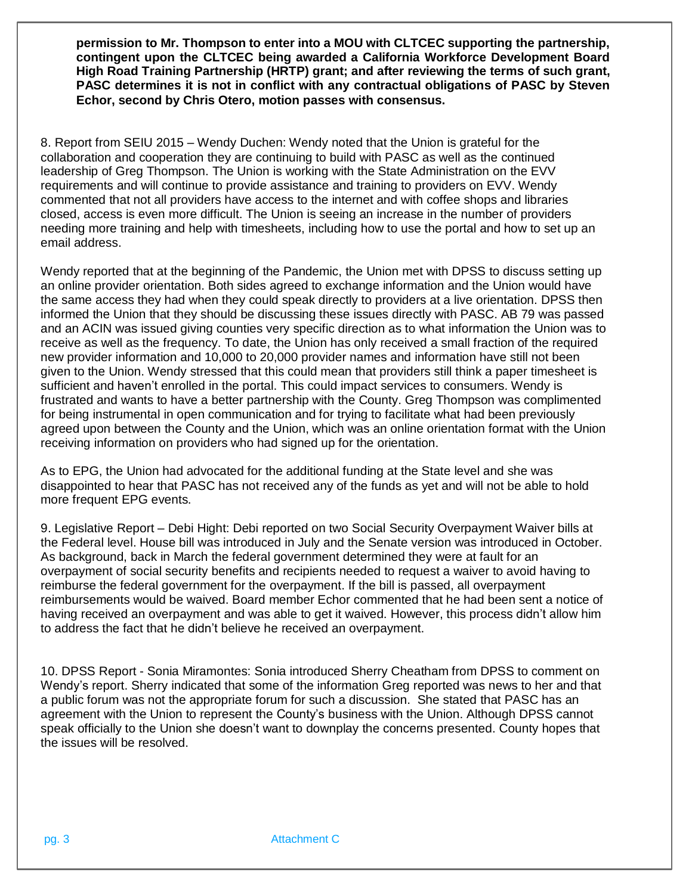**permission to Mr. Thompson to enter into a MOU with CLTCEC supporting the partnership, contingent upon the CLTCEC being awarded a California Workforce Development Board High Road Training Partnership (HRTP) grant; and after reviewing the terms of such grant, PASC determines it is not in conflict with any contractual obligations of PASC by Steven Echor, second by Chris Otero, motion passes with consensus.** 

8. Report from SEIU 2015 – Wendy Duchen: Wendy noted that the Union is grateful for the collaboration and cooperation they are continuing to build with PASC as well as the continued leadership of Greg Thompson. The Union is working with the State Administration on the EVV requirements and will continue to provide assistance and training to providers on EVV. Wendy commented that not all providers have access to the internet and with coffee shops and libraries closed, access is even more difficult. The Union is seeing an increase in the number of providers needing more training and help with timesheets, including how to use the portal and how to set up an email address.

Wendy reported that at the beginning of the Pandemic, the Union met with DPSS to discuss setting up an online provider orientation. Both sides agreed to exchange information and the Union would have the same access they had when they could speak directly to providers at a live orientation. DPSS then informed the Union that they should be discussing these issues directly with PASC. AB 79 was passed and an ACIN was issued giving counties very specific direction as to what information the Union was to receive as well as the frequency. To date, the Union has only received a small fraction of the required new provider information and 10,000 to 20,000 provider names and information have still not been given to the Union. Wendy stressed that this could mean that providers still think a paper timesheet is sufficient and haven't enrolled in the portal. This could impact services to consumers. Wendy is frustrated and wants to have a better partnership with the County. Greg Thompson was complimented for being instrumental in open communication and for trying to facilitate what had been previously agreed upon between the County and the Union, which was an online orientation format with the Union receiving information on providers who had signed up for the orientation.

As to EPG, the Union had advocated for the additional funding at the State level and she was disappointed to hear that PASC has not received any of the funds as yet and will not be able to hold more frequent EPG events.

9. Legislative Report – Debi Hight: Debi reported on two Social Security Overpayment Waiver bills at the Federal level. House bill was introduced in July and the Senate version was introduced in October. As background, back in March the federal government determined they were at fault for an overpayment of social security benefits and recipients needed to request a waiver to avoid having to reimburse the federal government for the overpayment. If the bill is passed, all overpayment reimbursements would be waived. Board member Echor commented that he had been sent a notice of having received an overpayment and was able to get it waived. However, this process didn't allow him to address the fact that he didn't believe he received an overpayment.

10. DPSS Report - Sonia Miramontes: Sonia introduced Sherry Cheatham from DPSS to comment on Wendy's report. Sherry indicated that some of the information Greg reported was news to her and that a public forum was not the appropriate forum for such a discussion. She stated that PASC has an agreement with the Union to represent the County's business with the Union. Although DPSS cannot speak officially to the Union she doesn't want to downplay the concerns presented. County hopes that the issues will be resolved.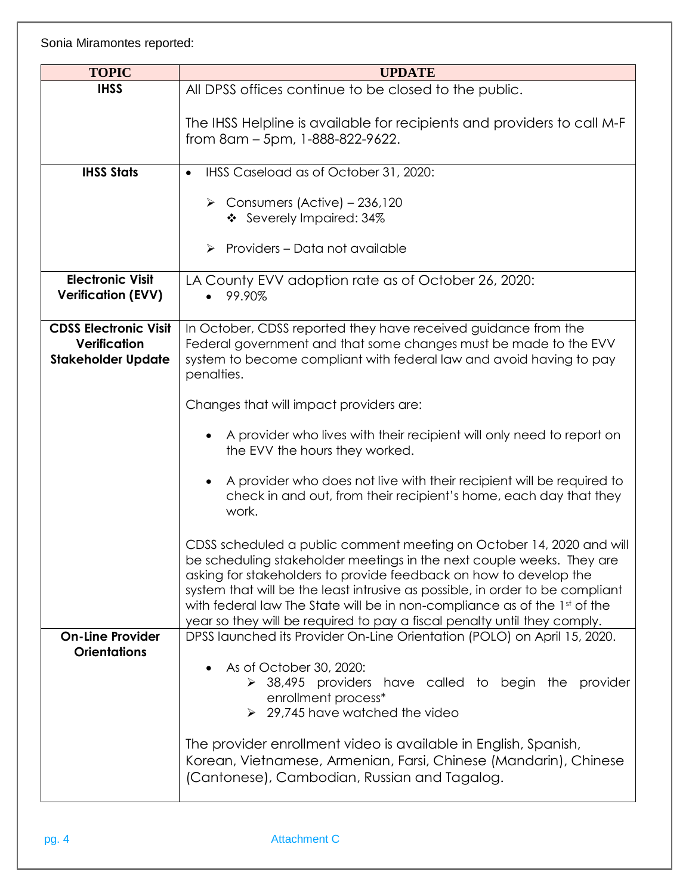Sonia Miramontes reported:

| <b>TOPIC</b>                 | <b>UPDATE</b>                                                                                                                                        |
|------------------------------|------------------------------------------------------------------------------------------------------------------------------------------------------|
| <b>IHSS</b>                  | All DPSS offices continue to be closed to the public.                                                                                                |
|                              |                                                                                                                                                      |
|                              | The IHSS Helpline is available for recipients and providers to call M-F                                                                              |
|                              | from 8am - 5pm, 1-888-822-9622.                                                                                                                      |
|                              |                                                                                                                                                      |
| <b>IHSS Stats</b>            | IHSS Caseload as of October 31, 2020:<br>$\bullet$                                                                                                   |
|                              | $\triangleright$ Consumers (Active) - 236,120                                                                                                        |
|                              | ❖ Severely Impaired: 34%                                                                                                                             |
|                              |                                                                                                                                                      |
|                              | $\triangleright$ Providers – Data not available                                                                                                      |
| <b>Electronic Visit</b>      | LA County EVV adoption rate as of October 26, 2020:                                                                                                  |
| <b>Verification (EVV)</b>    | 99.90%<br>$\bullet$                                                                                                                                  |
|                              |                                                                                                                                                      |
| <b>CDSS Electronic Visit</b> | In October, CDSS reported they have received guidance from the                                                                                       |
| Verification                 | Federal government and that some changes must be made to the EVV                                                                                     |
| <b>Stakeholder Update</b>    | system to become compliant with federal law and avoid having to pay<br>penalties.                                                                    |
|                              |                                                                                                                                                      |
|                              | Changes that will impact providers are:                                                                                                              |
|                              |                                                                                                                                                      |
|                              | A provider who lives with their recipient will only need to report on<br>$\bullet$<br>the EVV the hours they worked.                                 |
|                              |                                                                                                                                                      |
|                              | A provider who does not live with their recipient will be required to<br>$\bullet$                                                                   |
|                              | check in and out, from their recipient's home, each day that they                                                                                    |
|                              | work.                                                                                                                                                |
|                              | CDSS scheduled a public comment meeting on October 14, 2020 and will                                                                                 |
|                              | be scheduling stakeholder meetings in the next couple weeks. They are                                                                                |
|                              | asking for stakeholders to provide feedback on how to develop the                                                                                    |
|                              | system that will be the least intrusive as possible, in order to be compliant                                                                        |
|                              | with federal law The State will be in non-compliance as of the 1st of the                                                                            |
| <b>On-Line Provider</b>      | year so they will be required to pay a fiscal penalty until they comply.<br>DPSS launched its Provider On-Line Orientation (POLO) on April 15, 2020. |
| <b>Orientations</b>          |                                                                                                                                                      |
|                              | As of October 30, 2020:<br>$\bullet$                                                                                                                 |
|                              | $\geq$ 38,495 providers have called to begin the<br>provider                                                                                         |
|                              | enrollment process*<br>$\geq$ 29,745 have watched the video                                                                                          |
|                              |                                                                                                                                                      |
|                              | The provider enrollment video is available in English, Spanish,                                                                                      |
|                              | Korean, Vietnamese, Armenian, Farsi, Chinese (Mandarin), Chinese                                                                                     |
|                              | (Cantonese), Cambodian, Russian and Tagalog.                                                                                                         |
|                              |                                                                                                                                                      |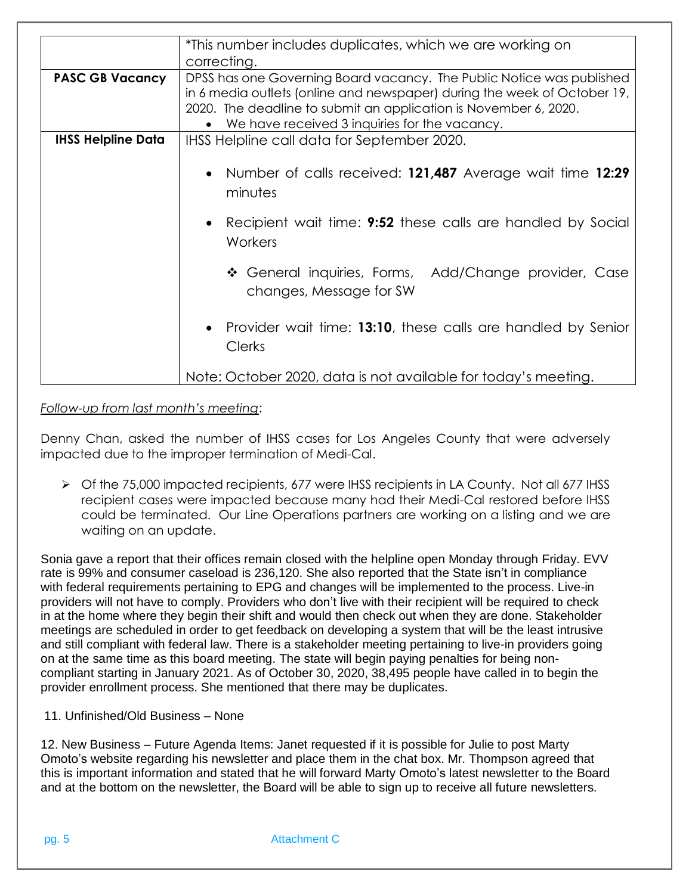| *This number includes duplicates, which we are working on<br>correcting.                                                                                                                                                                                               |
|------------------------------------------------------------------------------------------------------------------------------------------------------------------------------------------------------------------------------------------------------------------------|
|                                                                                                                                                                                                                                                                        |
|                                                                                                                                                                                                                                                                        |
| DPSS has one Governing Board vacancy. The Public Notice was published<br>in 6 media outlets (online and newspaper) during the week of October 19,<br>2020. The deadline to submit an application is November 6, 2020.<br>We have received 3 inquiries for the vacancy. |
| IHSS Helpline call data for September 2020.                                                                                                                                                                                                                            |
| • Number of calls received: 121,487 Average wait time 12:29<br>minutes<br>Recipient wait time: <b>9:52</b> these calls are handled by Social<br>$\bullet$<br>Workers                                                                                                   |
| ❖ General inquiries, Forms, Add/Change provider, Case<br>changes, Message for SW                                                                                                                                                                                       |
| Provider wait time: 13:10, these calls are handled by Senior<br><b>Clerks</b>                                                                                                                                                                                          |
| Note: October 2020, data is not available for today's meeting.                                                                                                                                                                                                         |
|                                                                                                                                                                                                                                                                        |

*Follow-up from last month's meeting*:

Denny Chan, asked the number of IHSS cases for Los Angeles County that were adversely impacted due to the improper termination of Medi-Cal.

➢ Of the 75,000 impacted recipients, 677 were IHSS recipients in LA County. Not all 677 IHSS recipient cases were impacted because many had their Medi-Cal restored before IHSS could be terminated. Our Line Operations partners are working on a listing and we are waiting on an update.

Sonia gave a report that their offices remain closed with the helpline open Monday through Friday. EVV rate is 99% and consumer caseload is 236,120. She also reported that the State isn't in compliance with federal requirements pertaining to EPG and changes will be implemented to the process. Live-in providers will not have to comply. Providers who don't live with their recipient will be required to check in at the home where they begin their shift and would then check out when they are done. Stakeholder meetings are scheduled in order to get feedback on developing a system that will be the least intrusive and still compliant with federal law. There is a stakeholder meeting pertaining to live-in providers going on at the same time as this board meeting. The state will begin paying penalties for being noncompliant starting in January 2021. As of October 30, 2020, 38,495 people have called in to begin the provider enrollment process. She mentioned that there may be duplicates.

11. Unfinished/Old Business – None

12. New Business – Future Agenda Items: Janet requested if it is possible for Julie to post Marty Omoto's website regarding his newsletter and place them in the chat box. Mr. Thompson agreed that this is important information and stated that he will forward Marty Omoto's latest newsletter to the Board and at the bottom on the newsletter, the Board will be able to sign up to receive all future newsletters.